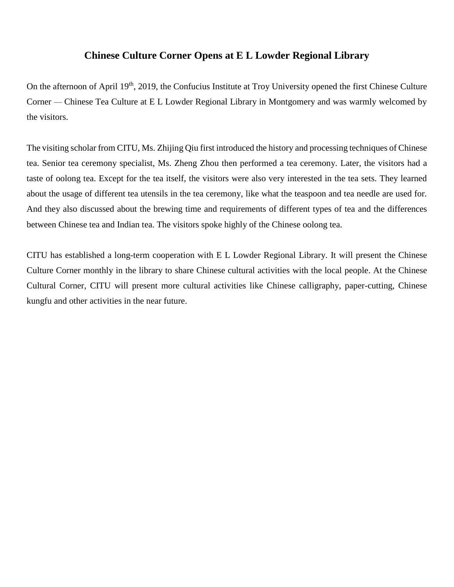## **Chinese Culture Corner Opens at E L Lowder Regional Library**

On the afternoon of April 19<sup>th</sup>, 2019, the Confucius Institute at Troy University opened the first Chinese Culture Corner — Chinese Tea Culture at E L Lowder Regional Library in Montgomery and was warmly welcomed by the visitors.

The visiting scholar from CITU, Ms. Zhijing Qiu first introduced the history and processing techniques of Chinese tea. Senior tea ceremony specialist, Ms. Zheng Zhou then performed a tea ceremony. Later, the visitors had a taste of oolong tea. Except for the tea itself, the visitors were also very interested in the tea sets. They learned about the usage of different tea utensils in the tea ceremony, like what the teaspoon and tea needle are used for. And they also discussed about the brewing time and requirements of different types of tea and the differences between Chinese tea and Indian tea. The visitors spoke highly of the Chinese oolong tea.

CITU has established a long-term cooperation with E L Lowder Regional Library. It will present the Chinese Culture Corner monthly in the library to share Chinese cultural activities with the local people. At the Chinese Cultural Corner, CITU will present more cultural activities like Chinese calligraphy, paper-cutting, Chinese kungfu and other activities in the near future.